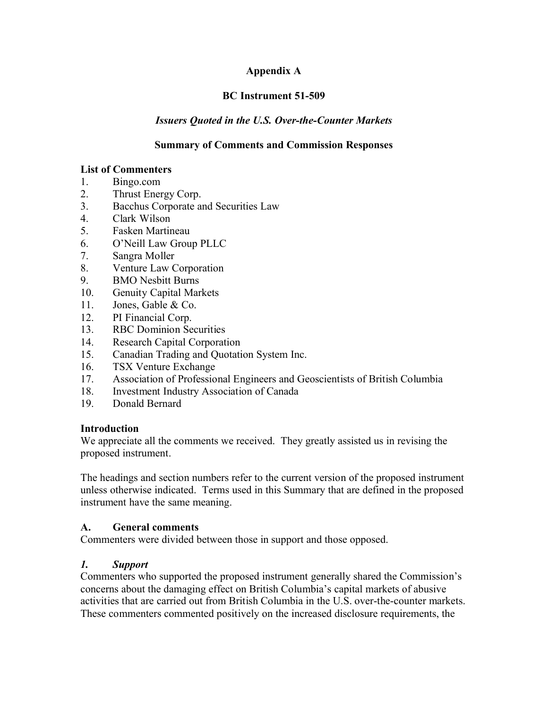# **Appendix A**

# **BC Instrument 51-509**

# *Issuers Quoted in the U.S. Over-the-Counter Markets*

#### **Summary of Comments and Commission Responses**

#### **List of Commenters**

- 1. Bingo.com
- 2. Thrust Energy Corp.
- 3. Bacchus Corporate and Securities Law
- 4. Clark Wilson
- 5. Fasken Martineau
- 6. O'Neill Law Group PLLC
- 7. Sangra Moller
- 8. Venture Law Corporation
- 9. BMO Nesbitt Burns
- 10. Genuity Capital Markets
- 11. Jones, Gable & Co.
- 12. PI Financial Corp.
- 13. RBC Dominion Securities
- 14. Research Capital Corporation
- 15. Canadian Trading and Quotation System Inc.
- 16. TSX Venture Exchange
- 17. Association of Professional Engineers and Geoscientists of British Columbia
- 18. Investment Industry Association of Canada
- 19. Donald Bernard

#### **Introduction**

We appreciate all the comments we received. They greatly assisted us in revising the proposed instrument.

The headings and section numbers refer to the current version of the proposed instrument unless otherwise indicated. Terms used in this Summary that are defined in the proposed instrument have the same meaning.

#### **A. General comments**

Commenters were divided between those in support and those opposed.

#### *1. Support*

Commenters who supported the proposed instrument generally shared the Commission's concerns about the damaging effect on British Columbia's capital markets of abusive activities that are carried out from British Columbia in the U.S. over-the-counter markets. These commenters commented positively on the increased disclosure requirements, the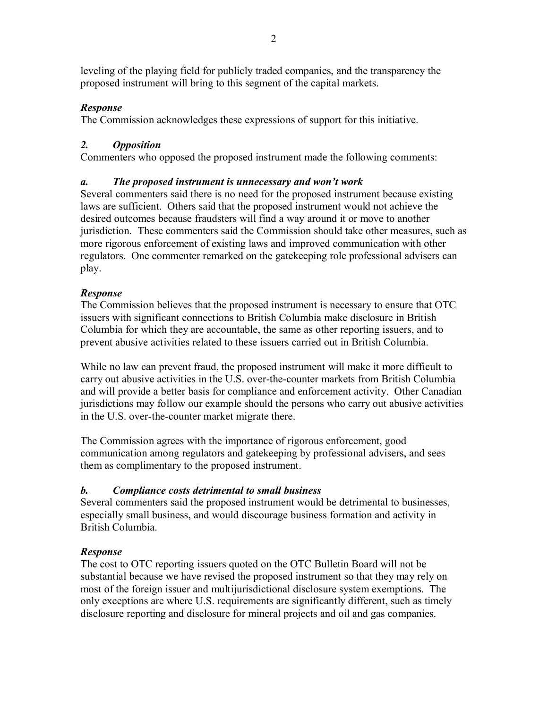leveling of the playing field for publicly traded companies, and the transparency the proposed instrument will bring to this segment of the capital markets.

# *Response*

The Commission acknowledges these expressions of support for this initiative.

# *2. Opposition*

Commenters who opposed the proposed instrument made the following comments:

# *a. The proposed instrument is unnecessary and won't work*

Several commenters said there is no need for the proposed instrument because existing laws are sufficient. Others said that the proposed instrument would not achieve the desired outcomes because fraudsters will find a way around it or move to another jurisdiction. These commenters said the Commission should take other measures, such as more rigorous enforcement of existing laws and improved communication with other regulators. One commenter remarked on the gatekeeping role professional advisers can play.

# *Response*

The Commission believes that the proposed instrument is necessary to ensure that OTC issuers with significant connections to British Columbia make disclosure in British Columbia for which they are accountable, the same as other reporting issuers, and to prevent abusive activities related to these issuers carried out in British Columbia.

While no law can prevent fraud, the proposed instrument will make it more difficult to carry out abusive activities in the U.S. over-the-counter markets from British Columbia and will provide a better basis for compliance and enforcement activity. Other Canadian jurisdictions may follow our example should the persons who carry out abusive activities in the U.S. over-the-counter market migrate there.

The Commission agrees with the importance of rigorous enforcement, good communication among regulators and gatekeeping by professional advisers, and sees them as complimentary to the proposed instrument.

# *b. Compliance costs detrimental to small business*

Several commenters said the proposed instrument would be detrimental to businesses, especially small business, and would discourage business formation and activity in British Columbia.

# *Response*

The cost to OTC reporting issuers quoted on the OTC Bulletin Board will not be substantial because we have revised the proposed instrument so that they may rely on most of the foreign issuer and multijurisdictional disclosure system exemptions. The only exceptions are where U.S. requirements are significantly different, such as timely disclosure reporting and disclosure for mineral projects and oil and gas companies.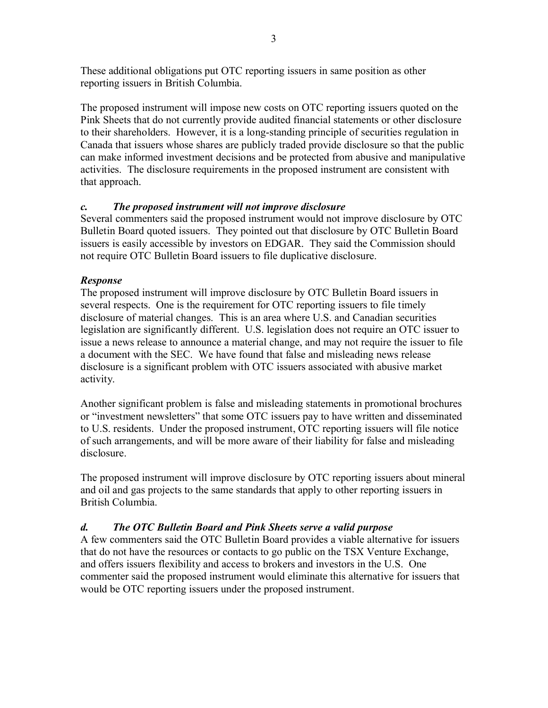These additional obligations put OTC reporting issuers in same position as other reporting issuers in British Columbia.

The proposed instrument will impose new costs on OTC reporting issuers quoted on the Pink Sheets that do not currently provide audited financial statements or other disclosure to their shareholders. However, it is a long-standing principle of securities regulation in Canada that issuers whose shares are publicly traded provide disclosure so that the public can make informed investment decisions and be protected from abusive and manipulative activities. The disclosure requirements in the proposed instrument are consistent with that approach.

# *c. The proposed instrument will not improve disclosure*

Several commenters said the proposed instrument would not improve disclosure by OTC Bulletin Board quoted issuers. They pointed out that disclosure by OTC Bulletin Board issuers is easily accessible by investors on EDGAR. They said the Commission should not require OTC Bulletin Board issuers to file duplicative disclosure.

# *Response*

The proposed instrument will improve disclosure by OTC Bulletin Board issuers in several respects. One is the requirement for OTC reporting issuers to file timely disclosure of material changes. This is an area where U.S. and Canadian securities legislation are significantly different. U.S. legislation does not require an OTC issuer to issue a news release to announce a material change, and may not require the issuer to file a document with the SEC. We have found that false and misleading news release disclosure is a significant problem with OTC issuers associated with abusive market activity.

Another significant problem is false and misleading statements in promotional brochures or "investment newsletters" that some OTC issuers pay to have written and disseminated to U.S. residents. Under the proposed instrument, OTC reporting issuers will file notice of such arrangements, and will be more aware of their liability for false and misleading disclosure.

The proposed instrument will improve disclosure by OTC reporting issuers about mineral and oil and gas projects to the same standards that apply to other reporting issuers in British Columbia.

# *d. The OTC Bulletin Board and Pink Sheets serve a valid purpose*

A few commenters said the OTC Bulletin Board provides a viable alternative for issuers that do not have the resources or contacts to go public on the TSX Venture Exchange, and offers issuers flexibility and access to brokers and investors in the U.S. One commenter said the proposed instrument would eliminate this alternative for issuers that would be OTC reporting issuers under the proposed instrument.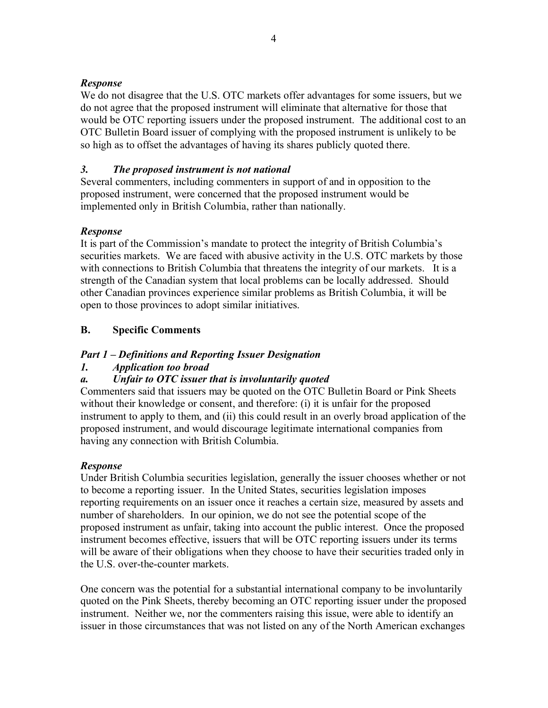#### *Response*

We do not disagree that the U.S. OTC markets offer advantages for some issuers, but we do not agree that the proposed instrument will eliminate that alternative for those that would be OTC reporting issuers under the proposed instrument. The additional cost to an OTC Bulletin Board issuer of complying with the proposed instrument is unlikely to be so high as to offset the advantages of having its shares publicly quoted there.

#### *3. The proposed instrument is not national*

Several commenters, including commenters in support of and in opposition to the proposed instrument, were concerned that the proposed instrument would be implemented only in British Columbia, rather than nationally.

#### *Response*

It is part of the Commission's mandate to protect the integrity of British Columbia's securities markets. We are faced with abusive activity in the U.S. OTC markets by those with connections to British Columbia that threatens the integrity of our markets. It is a strength of the Canadian system that local problems can be locally addressed. Should other Canadian provinces experience similar problems as British Columbia, it will be open to those provinces to adopt similar initiatives.

#### **B. Specific Comments**

#### *Part 1 – Definitions and Reporting Issuer Designation*

#### *1. Application too broad*

#### *a. Unfair to OTC issuer that is involuntarily quoted*

Commenters said that issuers may be quoted on the OTC Bulletin Board or Pink Sheets without their knowledge or consent, and therefore: (i) it is unfair for the proposed instrument to apply to them, and (ii) this could result in an overly broad application of the proposed instrument, and would discourage legitimate international companies from having any connection with British Columbia.

#### *Response*

Under British Columbia securities legislation, generally the issuer chooses whether or not to become a reporting issuer. In the United States, securities legislation imposes reporting requirements on an issuer once it reaches a certain size, measured by assets and number of shareholders. In our opinion, we do not see the potential scope of the proposed instrument as unfair, taking into account the public interest. Once the proposed instrument becomes effective, issuers that will be OTC reporting issuers under its terms will be aware of their obligations when they choose to have their securities traded only in the U.S. over-the-counter markets.

One concern was the potential for a substantial international company to be involuntarily quoted on the Pink Sheets, thereby becoming an OTC reporting issuer under the proposed instrument. Neither we, nor the commenters raising this issue, were able to identify an issuer in those circumstances that was not listed on any of the North American exchanges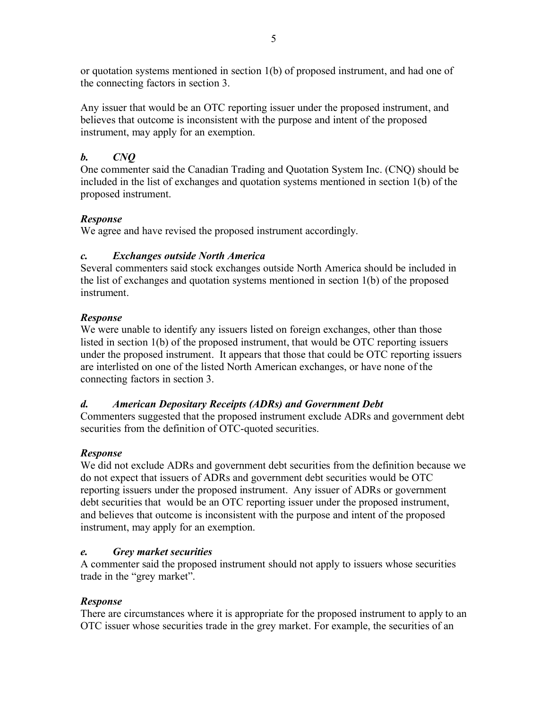or quotation systems mentioned in section 1(b) of proposed instrument, and had one of the connecting factors in section 3.

Any issuer that would be an OTC reporting issuer under the proposed instrument, and believes that outcome is inconsistent with the purpose and intent of the proposed instrument, may apply for an exemption.

# *b. CNQ*

One commenter said the Canadian Trading and Quotation System Inc. (CNQ) should be included in the list of exchanges and quotation systems mentioned in section 1(b) of the proposed instrument.

# *Response*

We agree and have revised the proposed instrument accordingly.

# *c. Exchanges outside North America*

Several commenters said stock exchanges outside North America should be included in the list of exchanges and quotation systems mentioned in section 1(b) of the proposed instrument.

# *Response*

We were unable to identify any issuers listed on foreign exchanges, other than those listed in section 1(b) of the proposed instrument, that would be OTC reporting issuers under the proposed instrument. It appears that those that could be OTC reporting issuers are interlisted on one of the listed North American exchanges, or have none of the connecting factors in section 3.

# *d. American Depositary Receipts (ADRs) and Government Debt*

Commenters suggested that the proposed instrument exclude ADRs and government debt securities from the definition of OTC-quoted securities.

# *Response*

We did not exclude ADRs and government debt securities from the definition because we do not expect that issuers of ADRs and government debt securities would be OTC reporting issuers under the proposed instrument. Any issuer of ADRs or government debt securities that would be an OTC reporting issuer under the proposed instrument, and believes that outcome is inconsistent with the purpose and intent of the proposed instrument, may apply for an exemption.

# *e. Grey market securities*

A commenter said the proposed instrument should not apply to issuers whose securities trade in the "grey market".

# *Response*

There are circumstances where it is appropriate for the proposed instrument to apply to an OTC issuer whose securities trade in the grey market. For example, the securities of an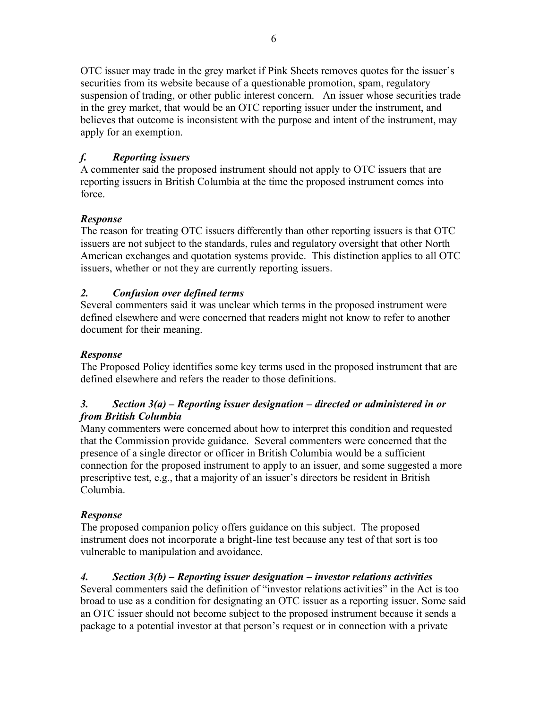OTC issuer may trade in the grey market if Pink Sheets removes quotes for the issuer's securities from its website because of a questionable promotion, spam, regulatory suspension of trading, or other public interest concern. An issuer whose securities trade in the grey market, that would be an OTC reporting issuer under the instrument, and believes that outcome is inconsistent with the purpose and intent of the instrument, may apply for an exemption.

# *f. Reporting issuers*

A commenter said the proposed instrument should not apply to OTC issuers that are reporting issuers in British Columbia at the time the proposed instrument comes into force.

# *Response*

The reason for treating OTC issuers differently than other reporting issuers is that OTC issuers are not subject to the standards, rules and regulatory oversight that other North American exchanges and quotation systems provide. This distinction applies to all OTC issuers, whether or not they are currently reporting issuers.

# *2. Confusion over defined terms*

Several commenters said it was unclear which terms in the proposed instrument were defined elsewhere and were concerned that readers might not know to refer to another document for their meaning.

# *Response*

The Proposed Policy identifies some key terms used in the proposed instrument that are defined elsewhere and refers the reader to those definitions.

# *3. Section 3(a) – Reporting issuer designation – directed or administered in or from British Columbia*

Many commenters were concerned about how to interpret this condition and requested that the Commission provide guidance. Several commenters were concerned that the presence of a single director or officer in British Columbia would be a sufficient connection for the proposed instrument to apply to an issuer, and some suggested a more prescriptive test, e.g., that a majority of an issuer's directors be resident in British Columbia.

# *Response*

The proposed companion policy offers guidance on this subject. The proposed instrument does not incorporate a bright-line test because any test of that sort is too vulnerable to manipulation and avoidance.

# *4. Section 3(b) – Reporting issuer designation – investor relations activities*

Several commenters said the definition of "investor relations activities" in the Act is too broad to use as a condition for designating an OTC issuer as a reporting issuer. Some said an OTC issuer should not become subject to the proposed instrument because it sends a package to a potential investor at that person's request or in connection with a private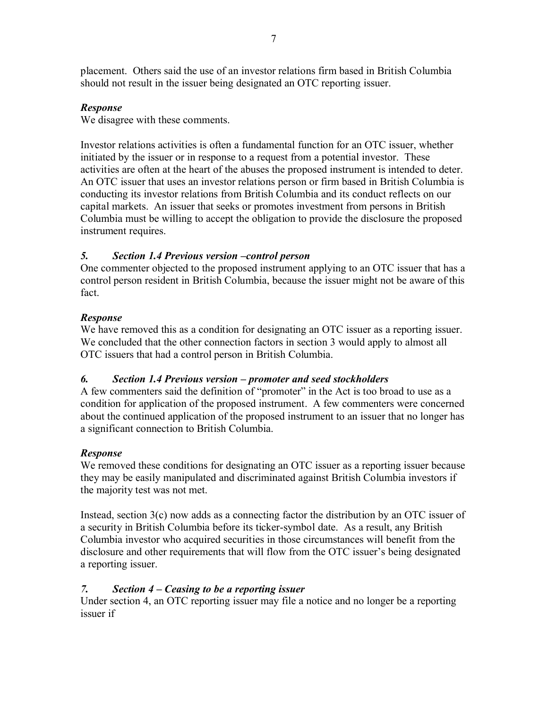placement. Others said the use of an investor relations firm based in British Columbia should not result in the issuer being designated an OTC reporting issuer.

#### *Response*

We disagree with these comments.

Investor relations activities is often a fundamental function for an OTC issuer, whether initiated by the issuer or in response to a request from a potential investor. These activities are often at the heart of the abuses the proposed instrument is intended to deter. An OTC issuer that uses an investor relations person or firm based in British Columbia is conducting its investor relations from British Columbia and its conduct reflects on our capital markets. An issuer that seeks or promotes investment from persons in British Columbia must be willing to accept the obligation to provide the disclosure the proposed instrument requires.

# *5. Section 1.4 Previous version –control person*

One commenter objected to the proposed instrument applying to an OTC issuer that has a control person resident in British Columbia, because the issuer might not be aware of this fact.

# *Response*

We have removed this as a condition for designating an OTC issuer as a reporting issuer. We concluded that the other connection factors in section 3 would apply to almost all OTC issuers that had a control person in British Columbia.

#### *6. Section 1.4 Previous version – promoter and seed stockholders*

A few commenters said the definition of "promoter" in the Act is too broad to use as a condition for application of the proposed instrument. A few commenters were concerned about the continued application of the proposed instrument to an issuer that no longer has a significant connection to British Columbia.

#### *Response*

We removed these conditions for designating an OTC issuer as a reporting issuer because they may be easily manipulated and discriminated against British Columbia investors if the majority test was not met.

Instead, section 3(c) now adds as a connecting factor the distribution by an OTC issuer of a security in British Columbia before its ticker-symbol date. As a result, any British Columbia investor who acquired securities in those circumstances will benefit from the disclosure and other requirements that will flow from the OTC issuer's being designated a reporting issuer.

# *7. Section 4 – Ceasing to be a reporting issuer*

Under section 4, an OTC reporting issuer may file a notice and no longer be a reporting issuer if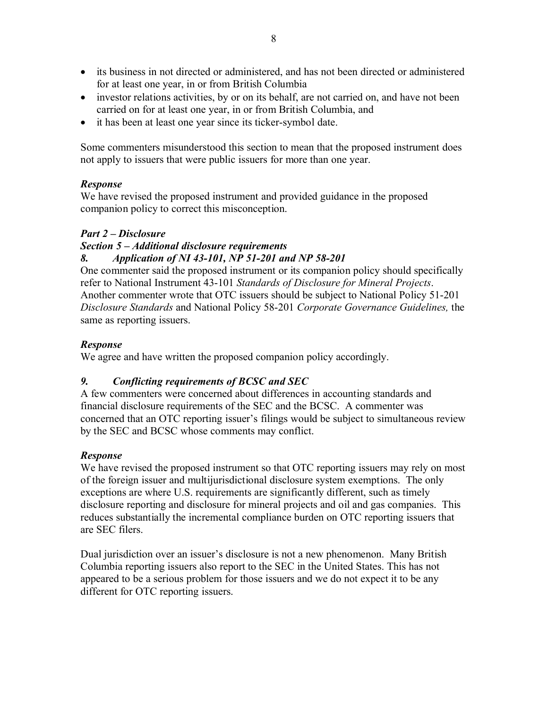- its business in not directed or administered, and has not been directed or administered for at least one year, in or from British Columbia
- investor relations activities, by or on its behalf, are not carried on, and have not been carried on for at least one year, in or from British Columbia, and
- it has been at least one year since its ticker-symbol date.

Some commenters misunderstood this section to mean that the proposed instrument does not apply to issuers that were public issuers for more than one year.

# *Response*

We have revised the proposed instrument and provided guidance in the proposed companion policy to correct this misconception.

# *Part 2 – Disclosure*

# *Section 5 – Additional disclosure requirements*

# *8. Application of NI 43-101, NP 51-201 and NP 58-201*

One commenter said the proposed instrument or its companion policy should specifically refer to National Instrument 43-101 *Standards of Disclosure for Mineral Projects*. Another commenter wrote that OTC issuers should be subject to National Policy 51-201 *Disclosure Standards* and National Policy 58-201 *Corporate Governance Guidelines,* the same as reporting issuers.

# *Response*

We agree and have written the proposed companion policy accordingly.

# *9. Conflicting requirements of BCSC and SEC*

A few commenters were concerned about differences in accounting standards and financial disclosure requirements of the SEC and the BCSC. A commenter was concerned that an OTC reporting issuer's filings would be subject to simultaneous review by the SEC and BCSC whose comments may conflict.

# *Response*

We have revised the proposed instrument so that OTC reporting issuers may rely on most of the foreign issuer and multijurisdictional disclosure system exemptions. The only exceptions are where U.S. requirements are significantly different, such as timely disclosure reporting and disclosure for mineral projects and oil and gas companies. This reduces substantially the incremental compliance burden on OTC reporting issuers that are SEC filers.

Dual jurisdiction over an issuer's disclosure is not a new phenomenon. Many British Columbia reporting issuers also report to the SEC in the United States. This has not appeared to be a serious problem for those issuers and we do not expect it to be any different for OTC reporting issuers.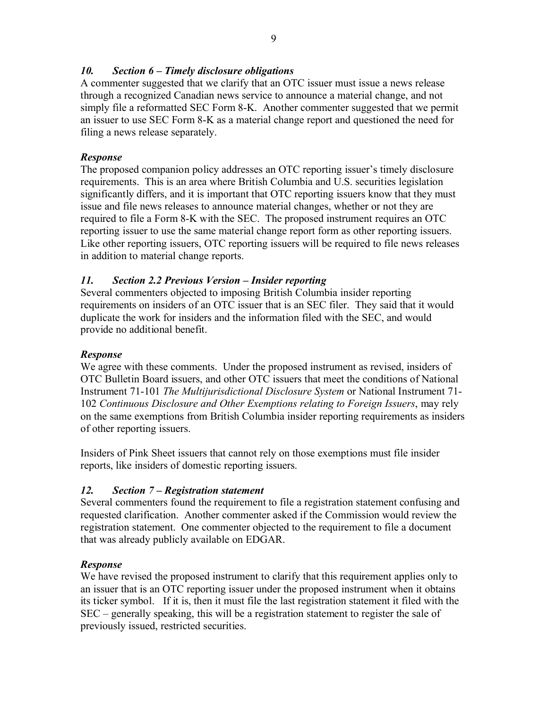# *10. Section 6 – Timely disclosure obligations*

A commenter suggested that we clarify that an OTC issuer must issue a news release through a recognized Canadian news service to announce a material change, and not simply file a reformatted SEC Form 8-K. Another commenter suggested that we permit an issuer to use SEC Form 8-K as a material change report and questioned the need for filing a news release separately.

#### *Response*

The proposed companion policy addresses an OTC reporting issuer's timely disclosure requirements. This is an area where British Columbia and U.S. securities legislation significantly differs, and it is important that OTC reporting issuers know that they must issue and file news releases to announce material changes, whether or not they are required to file a Form 8-K with the SEC. The proposed instrument requires an OTC reporting issuer to use the same material change report form as other reporting issuers. Like other reporting issuers, OTC reporting issuers will be required to file news releases in addition to material change reports.

# *11. Section 2.2 Previous Version – Insider reporting*

Several commenters objected to imposing British Columbia insider reporting requirements on insiders of an OTC issuer that is an SEC filer. They said that it would duplicate the work for insiders and the information filed with the SEC, and would provide no additional benefit.

#### *Response*

We agree with these comments. Under the proposed instrument as revised, insiders of OTC Bulletin Board issuers, and other OTC issuers that meet the conditions of National Instrument 71-101 *The Multijurisdictional Disclosure System* or National Instrument 71- 102 *Continuous Disclosure and Other Exemptions relating to Foreign Issuers*, may rely on the same exemptions from British Columbia insider reporting requirements as insiders of other reporting issuers.

Insiders of Pink Sheet issuers that cannot rely on those exemptions must file insider reports, like insiders of domestic reporting issuers.

# *12. Section 7 – Registration statement*

Several commenters found the requirement to file a registration statement confusing and requested clarification. Another commenter asked if the Commission would review the registration statement. One commenter objected to the requirement to file a document that was already publicly available on EDGAR.

#### *Response*

We have revised the proposed instrument to clarify that this requirement applies only to an issuer that is an OTC reporting issuer under the proposed instrument when it obtains its ticker symbol. If it is, then it must file the last registration statement it filed with the SEC – generally speaking, this will be a registration statement to register the sale of previously issued, restricted securities.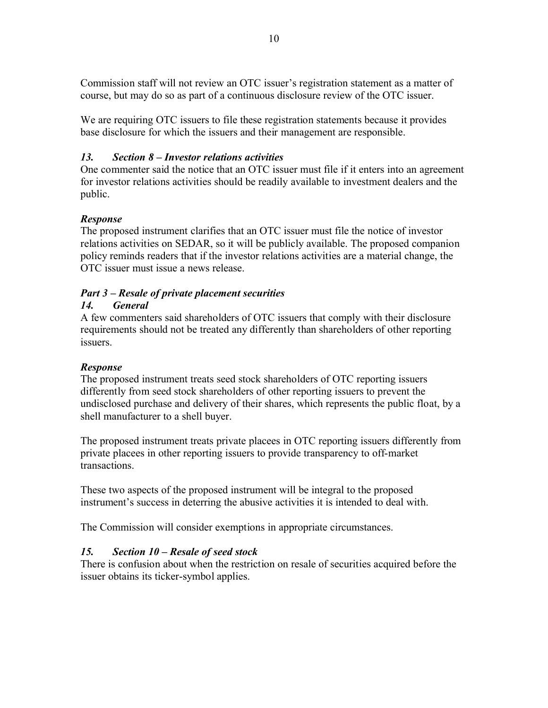Commission staff will not review an OTC issuer's registration statement as a matter of course, but may do so as part of a continuous disclosure review of the OTC issuer.

We are requiring OTC issuers to file these registration statements because it provides base disclosure for which the issuers and their management are responsible.

# *13. Section 8 – Investor relations activities*

One commenter said the notice that an OTC issuer must file if it enters into an agreement for investor relations activities should be readily available to investment dealers and the public.

# *Response*

The proposed instrument clarifies that an OTC issuer must file the notice of investor relations activities on SEDAR, so it will be publicly available. The proposed companion policy reminds readers that if the investor relations activities are a material change, the OTC issuer must issue a news release.

# *Part 3 – Resale of private placement securities*

# *14. General*

A few commenters said shareholders of OTC issuers that comply with their disclosure requirements should not be treated any differently than shareholders of other reporting issuers.

# *Response*

The proposed instrument treats seed stock shareholders of OTC reporting issuers differently from seed stock shareholders of other reporting issuers to prevent the undisclosed purchase and delivery of their shares, which represents the public float, by a shell manufacturer to a shell buyer.

The proposed instrument treats private placees in OTC reporting issuers differently from private placees in other reporting issuers to provide transparency to off-market transactions.

These two aspects of the proposed instrument will be integral to the proposed instrument's success in deterring the abusive activities it is intended to deal with.

The Commission will consider exemptions in appropriate circumstances.

# *15. Section 10 – Resale of seed stock*

There is confusion about when the restriction on resale of securities acquired before the issuer obtains its ticker-symbol applies.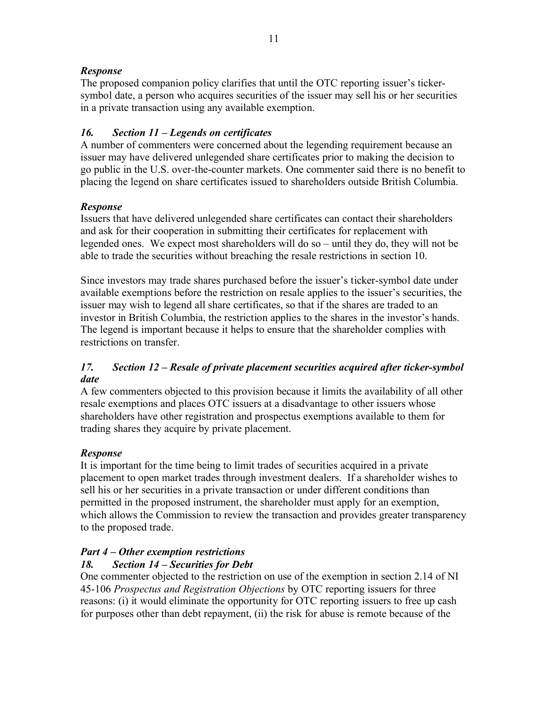#### *Response*

The proposed companion policy clarifies that until the OTC reporting issuer's tickersymbol date, a person who acquires securities of the issuer may sell his or her securities in a private transaction using any available exemption.

# *16. Section 11 – Legends on certificates*

A number of commenters were concerned about the legending requirement because an issuer may have delivered unlegended share certificates prior to making the decision to go public in the U.S. over-the-counter markets. One commenter said there is no benefit to placing the legend on share certificates issued to shareholders outside British Columbia.

#### *Response*

Issuers that have delivered unlegended share certificates can contact their shareholders and ask for their cooperation in submitting their certificates for replacement with legended ones. We expect most shareholders will do so – until they do, they will not be able to trade the securities without breaching the resale restrictions in section 10.

Since investors may trade shares purchased before the issuer's ticker-symbol date under available exemptions before the restriction on resale applies to the issuer's securities, the issuer may wish to legend all share certificates, so that if the shares are traded to an investor in British Columbia, the restriction applies to the shares in the investor's hands. The legend is important because it helps to ensure that the shareholder complies with restrictions on transfer.

#### *17. Section 12 – Resale of private placement securities acquired after ticker-symbol date*

A few commenters objected to this provision because it limits the availability of all other resale exemptions and places OTC issuers at a disadvantage to other issuers whose shareholders have other registration and prospectus exemptions available to them for trading shares they acquire by private placement.

# *Response*

It is important for the time being to limit trades of securities acquired in a private placement to open market trades through investment dealers. If a shareholder wishes to sell his or her securities in a private transaction or under different conditions than permitted in the proposed instrument, the shareholder must apply for an exemption, which allows the Commission to review the transaction and provides greater transparency to the proposed trade.

# *Part 4 – Other exemption restrictions*

# *18. Section 14 – Securities for Debt*

One commenter objected to the restriction on use of the exemption in section 2.14 of NI 45-106 *Prospectus and Registration Objections* by OTC reporting issuers for three reasons: (i) it would eliminate the opportunity for OTC reporting issuers to free up cash for purposes other than debt repayment, (ii) the risk for abuse is remote because of the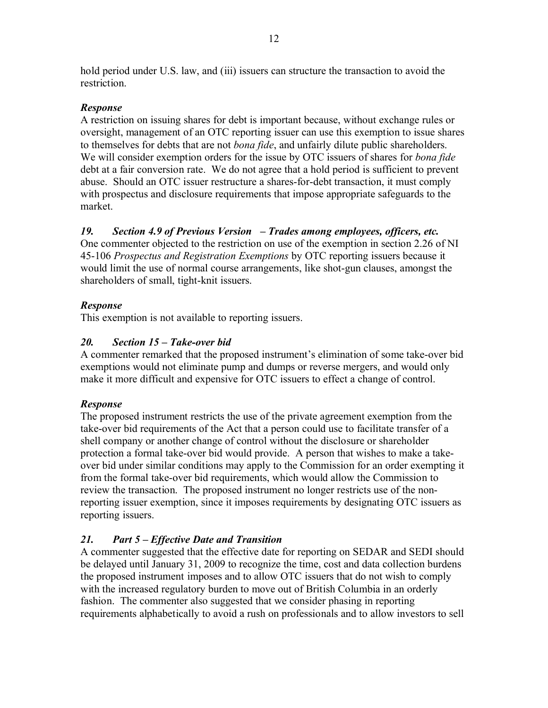hold period under U.S. law, and (iii) issuers can structure the transaction to avoid the **restriction** 

# *Response*

A restriction on issuing shares for debt is important because, without exchange rules or oversight, management of an OTC reporting issuer can use this exemption to issue shares to themselves for debts that are not *bona fide*, and unfairly dilute public shareholders. We will consider exemption orders for the issue by OTC issuers of shares for *bona fide* debt at a fair conversion rate. We do not agree that a hold period is sufficient to prevent abuse. Should an OTC issuer restructure a shares-for-debt transaction, it must comply with prospectus and disclosure requirements that impose appropriate safeguards to the market.

# *19. Section 4.9 of Previous Version – Trades among employees, officers, etc.*

One commenter objected to the restriction on use of the exemption in section 2.26 of NI 45-106 *Prospectus and Registration Exemptions* by OTC reporting issuers because it would limit the use of normal course arrangements, like shot-gun clauses, amongst the shareholders of small, tight-knit issuers.

# *Response*

This exemption is not available to reporting issuers.

# *20. Section 15 – Take-over bid*

A commenter remarked that the proposed instrument's elimination of some take-over bid exemptions would not eliminate pump and dumps or reverse mergers, and would only make it more difficult and expensive for OTC issuers to effect a change of control.

#### *Response*

The proposed instrument restricts the use of the private agreement exemption from the take-over bid requirements of the Act that a person could use to facilitate transfer of a shell company or another change of control without the disclosure or shareholder protection a formal take-over bid would provide. A person that wishes to make a takeover bid under similar conditions may apply to the Commission for an order exempting it from the formal take-over bid requirements, which would allow the Commission to review the transaction. The proposed instrument no longer restricts use of the nonreporting issuer exemption, since it imposes requirements by designating OTC issuers as reporting issuers.

# *21. Part 5 – Effective Date and Transition*

A commenter suggested that the effective date for reporting on SEDAR and SEDI should be delayed until January 31, 2009 to recognize the time, cost and data collection burdens the proposed instrument imposes and to allow OTC issuers that do not wish to comply with the increased regulatory burden to move out of British Columbia in an orderly fashion. The commenter also suggested that we consider phasing in reporting requirements alphabetically to avoid a rush on professionals and to allow investors to sell